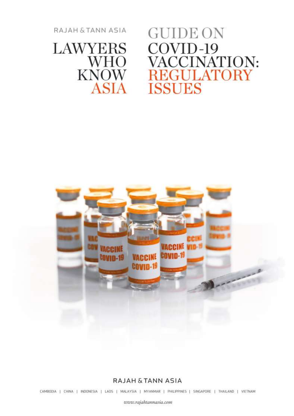RAJAH & TANN ASIA

# LAWYERS<br>WHO<br>KNOW **ASIA**

**GUIDE ON** COVID-19<br>VACCINATION:<br>REGULATORY **ISSUES** 



#### RAJAH & TANN ASIA

CAMBODIA | CHINA | INDONESIA | LAOS | MALAYSIA | MYANMAR | PHILIPPINES | SINGAPORE | THAILAND | VIETNAM

www.rajahtannasia.com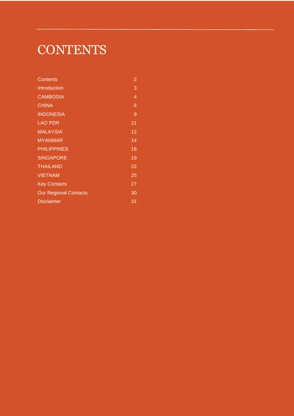# <span id="page-1-0"></span>**CONTENTS**

| Contents                     | $\overline{c}$  |
|------------------------------|-----------------|
| Introduction                 | 3               |
| <b>CAMBODIA</b>              | 4               |
| <b>CHINA</b>                 | 6               |
| <b>INDONESIA</b>             | 9               |
| <b>LAO PDR</b>               | 11              |
| <b>MALAYSIA</b>              | $\overline{12}$ |
| <b>MYANMAR</b>               | 14              |
| <b>PHILIPPINES</b>           | 16              |
| <b>SINGAPORE</b>             | 19              |
| <b>THAILAND</b>              | 22              |
| <b>VIETNAM</b>               | 25              |
| <b>Key Contacts</b>          | 27              |
| <b>Our Regional Contacts</b> | 30              |
| <b>Disclaimer</b>            | 31              |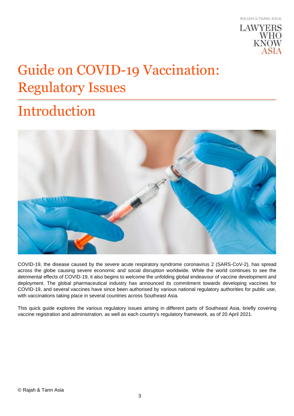

# Guide on COVID-19 Vaccination: Regulatory Issues

# <span id="page-2-0"></span>Introduction



COVID-19, the disease caused by the severe acute respiratory syndrome coronavirus 2 (SARS-CoV-2), has spread across the globe causing severe economic and social disruption worldwide. While the world continues to see the detrimental effects of COVID-19, it also begins to welcome the unfolding global endeavour of vaccine development and deployment. The global pharmaceutical industry has announced its commitment towards developing vaccines for COVID-19, and several vaccines have since been authorised by various national regulatory authorities for public use, with vaccinations taking place in several countries across Southeast Asia.

This quick guide explores the various regulatory issues arising in different parts of Southeast Asia, briefly covering vaccine registration and administration, as well as each country's regulatory framework, as of 20 April 2021.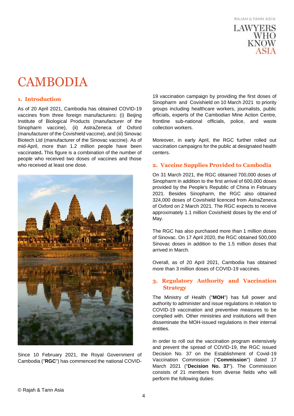

### <span id="page-3-0"></span>**CAMBODIA**

#### **1. Introduction**

As of 20 April 2021, Cambodia has obtained COVID-19 vaccines from three foreign manufacturers: (i) Beijing Institute of Biological Products (manufacturer of the Sinopharm vaccine), (ii) AstraZeneca of Oxford (manufacturer of the Covishield vaccine), and (iii) Sinovac Biotech Ltd (manufacturer of the Sinovac vaccine). As of mid-April, more than 1.2 million people have been vaccinated**.** This figure is a combination of the number of people who received two doses of vaccines and those who received at least one dose.



Since 10 February 2021, the Royal Government of Cambodia ("**RGC**") has commenced the national COVID-

19 vaccination campaign by providing the first doses of Sinopharm and Covishield on 10 March 2021 to priority groups including healthcare workers, journalists, public officials, experts of the Cambodian Mine Action Centre, frontline sub-national officials, police, and waste collection workers.

Moreover, in early April, the RGC further rolled out vaccination campaigns for the public at designated health centers.

#### **2. Vaccine Supplies Provided to Cambodia**

On 31 March 2021, the RGC obtained 700,000 doses of Sinopharm in addition to the first arrival of 600,000 doses provided by the People's Republic of China in February 2021. Besides Sinopharm, the RGC also obtained 324,000 doses of Covishield licenced from AstraZeneca of Oxford on 2 March 2021. The RGC expects to receive approximately 1.1 million Covishield doses by the end of May.

The RGC has also purchased more than 1 million doses of Sinovac. On 17 April 2020, the RGC obtained 500,000 Sinovac doses in addition to the 1.5 million doses that arrived in March.

Overall, as of 20 April 2021, Cambodia has obtained more than 3 million doses of COVID-19 vaccines.

#### **3. Regulatory Authority and Vaccination Strategy**

The Ministry of Health ("**MOH**") has full power and authority to administer and issue regulations in relation to COVID-19 vaccination and preventive measures to be complied with. Other ministries and institutions will then disseminate the MOH-issued regulations in their internal entities.

In order to roll out the vaccination program extensively and prevent the spread of COVID-19, the RGC issued Decision No. 37 on the Establishment of Covid-19 Vaccination Commission ("**Commission**") dated 17 March 2021 ("**Decision No. 37**"). The Commission consists of 21 members from diverse fields who will perform the following duties: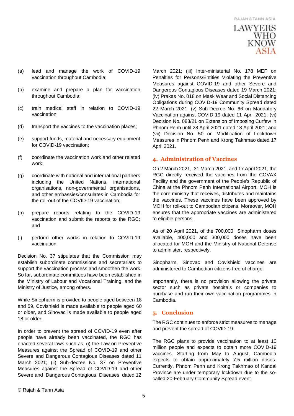### **LAWYERS WHO** KNOW

- (a) lead and manage the work of COVID-19 vaccination throughout Cambodia;
- (b) examine and prepare a plan for vaccination throughout Cambodia;
- (c) train medical staff in relation to COVID-19 vaccination;
- (d) transport the vaccines to the vaccination places;
- (e) support funds, material and necessary equipment for COVID-19 vaccination;
- (f) coordinate the vaccination work and other related work;
- (g) coordinate with national and international partners including the United Nations, international organisations, non-governmental organisations, and other embassies/consulates in Cambodia for the roll-out of the COVID-19 vaccination;
- (h) prepare reports relating to the COVID-19 vaccination and submit the reports to the RGC; and
- (i) perform other works in relation to COVID-19 vaccination.

Decision No. 37 stipulates that the Commission may establish subordinate commissions and secretariats to support the vaccination process and smoothen the work. So far, subordinate committees have been established in the Ministry of Labour and Vocational Training, and the Ministry of Justice, among others.

While Sinopharm is provided to people aged between 18 and 59, Covishield is made available to people aged 60 or older, and Sinovac is made available to people aged 18 or older.

In order to prevent the spread of COVID-19 even after people have already been vaccinated, the RGC has enacted several laws such as: (i) the Law on Preventive Measures against the Spread of COVID-19 and other Severe and Dangerous Contagious Diseases dated 11 March 2021; (ii) Sub-decree No. 37 on Preventive Measures against the Spread of COVID-19 and other Severe and Dangerous Contagious Diseases dated 12

March 2021; (iii) Inter-ministerial No. 178 MEF on Penalties for Persons/Entities Violating the Preventive Measures against COVID-19 and other Severe and Dangerous Contagious Diseases dated 19 March 2021; (iv) Prakas No. 018 on Mask Wear and Social Distancing Obligations during COVID-19 Community Spread dated 22 March 2021; (v) Sub-Decree No. 66 on Mandatory Vaccination against COVID-19 dated 11 April 2021; (vi) Decision No. 083/21 on Extension of Imposing Curfew in Phnom Penh until 28 April 2021 dated 13 April 2021; and (vii) Decision No. 50 on Modification of Lockdown Measures in Phnom Penh and Krong Takhmao dated 17 April 2021.

#### **4. Administration of Vaccines**

On 2 March 2021, 31 March 2021, and 17 April 2021, the RGC directly received the vaccines from the COVAX Facility and the government of the People's Republic of China at the Phnom Penh International Airport. MOH is the core ministry that receives, distributes and maintains the vaccines. These vaccines have been approved by MOH for roll-out to Cambodian citizens. Moreover, MOH ensures that the appropriate vaccines are administered to eligible persons.

As of 20 April 2021, of the 700,000 Sinopharm doses available, 400,000 and 300,000 doses have been allocated for MOH and the Ministry of National Defense to administer, respectively.

Sinopharm, Sinovac and Covishield vaccines are administered to Cambodian citizens free of charge.

Importantly, there is no provision allowing the private sector such as private hospitals or companies to purchase and run their own vaccination programmes in Cambodia.

#### **5. Conclusion**

The RGC continues to enforce strict measures to manage and prevent the spread of COVID-19.

The RGC plans to provide vaccination to at least 10 million people and expects to obtain more COVID-19 vaccines. Starting from May to August, Cambodia expects to obtain approximately 7.5 million doses. Currently, Phnom Penh and Krong Takhmao of Kandal Province are under temporary lockdown due to the socalled 20-February Community Spread event.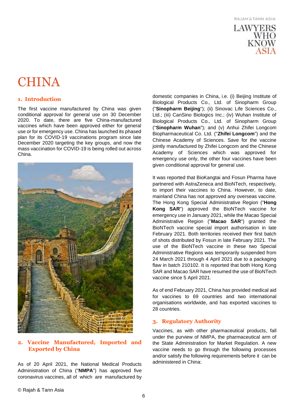

### <span id="page-5-0"></span>**CHINA**

#### **1. Introduction**

The first vaccine manufactured by China was given conditional approval for general use on 30 December 2020. To date, there are five China-manufactured vaccines which have been approved either for general use or for emergency use. China has launched its phased plan for its COVID-19 vaccinations program since late December 2020 targeting the key groups, and now the mass vaccination for COVID-19 is being rolled out across China.



**2. Vaccine Manufactured, Imported and Exported by China**

As of 20 April 2021, the National Medical Products Administration of China ("**NMPA**") has approved five coronavirus vaccines, all of which are manufactured by

domestic companies in China, i.e. (i) Beijing Institute of Biological Products Co., Ltd. of Sinopharm Group ("**Sinopharm Beijing**"); (ii) Sinovac Life Sciences Co., Ltd.; (iii) CanSino Biologics Inc.; (iv) Wuhan Institute of Biological Products Co., Ltd. of Sinopharm Group ("**Sinopharm Wuhan**"); and (v) Anhui Zhifei Longcom Biopharmaceutical Co. Ltd. ("**Zhifei Longcom**") and the Chinese Academy of Sciences. Save for the vaccine jointly manufactured by Zhifei Longcom and the Chinese Academy of Sciences which was approved for emergency use only, the other four vaccines have been given conditional approval for general use.

It was reported that BioKangtai and Fosun Pharma have partnered with AstraZeneca and BioNTech, respectively, to import their vaccines to China. However, to date, mainland China has not approved any overseas vaccine. The Hong Kong Special Administrative Region ("**Hong Kong SAR**") approved the BioNTech vaccine for emergency use in January 2021, while the Macao Special Administrative Region ("**Macao SAR**") granted the BioNTech vaccine special import authorisation in late February 2021. Both territories received their first batch of shots distributed by Fosun in late February 2021. The use of the BioNTech vaccine in these two Special Administrative Regions was temporarily suspended from 24 March 2021 through 4 April 2021 due to a packaging flaw in batch 210102. It is reported that both Hong Kong SAR and Macao SAR have resumed the use of BioNTech vaccine since 5 April 2021.

As of end February 2021, China has provided medical aid for vaccines to 69 countries and two international organisations worldwide, and has exported vaccines to 28 countries.

#### **3. Regulatory Authority**

Vaccines, as with other pharmaceutical products, fall under the purview of NMPA, the pharmaceutical arm of the State Administration for Market Regulation. A new vaccine needs to go through the following processes and/or satisfy the following requirements before it can be administered in China: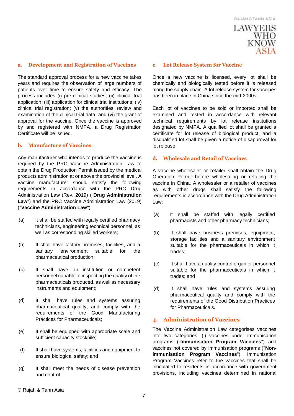

#### **a. Development and Registration of Vaccines**

The standard approval process for a new vaccine takes years and requires the observation of large numbers of patients over time to ensure safety and efficacy. The process includes (i) pre-clinical studies; (ii) clinical trial application; (iii) application for clinical trial institutions; (iv) clinical trial registration; (v) the authorities' review and examination of the clinical trial data; and (vi) the grant of approval for the vaccine. Once the vaccine is approved by and registered with NMPA, a Drug Registration Certificate will be issued.

#### **b. Manufacture of Vaccines**

Any manufacturer who intends to produce the vaccine is required by the PRC Vaccine Administration Law to obtain the Drug Production Permit issued by the medical products administration at or above the provincial level. A vaccine manufacturer should satisfy the following requirements in accordance with the PRC Drug Administration Law (Rev. 2019) ("**Drug Administration Law**") and the PRC Vaccine Administration Law (2019) ("**Vaccine Administration Law**"):

- (a) It shall be staffed with legally certified pharmacy technicians, engineering technical personnel, as well as corresponding skilled workers;
- (b) It shall have factory premises, facilities, and a sanitary environment suitable for the pharmaceutical production;
- (c) It shall have an institution or competent personnel capable of inspecting the quality of the pharmaceuticals produced, as well as necessary instruments and equipment;
- (d) It shall have rules and systems assuring pharmaceutical quality, and comply with the requirements of the Good Manufacturing Practices for Pharmaceuticals;
- (e) It shall be equipped with appropriate scale and sufficient capacity stockpile;
- (f) It shall have systems, facilities and equipment to ensure biological safety; and
- (g) It shall meet the needs of disease prevention and control.

#### **c. Lot Release System for Vaccine**

Once a new vaccine is licensed, every lot shall be chemically and biologically tested before it is released along the supply chain. A lot release system for vaccines has been in place in China since the mid-2000s.

Each lot of vaccines to be sold or imported shall be examined and tested in accordance with relevant technical requirements by lot release institutions designated by NMPA. A qualified lot shall be granted a certificate for lot release of biological product, and a disqualified lot shall be given a notice of disapproval for lot release.

#### **d. Wholesale and Retail of Vaccines**

A vaccine wholesaler or retailer shall obtain the Drug Operation Permit before wholesaling or retailing the vaccine in China. A wholesaler or a retailer of vaccines as with other drugs shall satisfy the following requirements in accordance with the Drug Administration Law:

- (a) It shall be staffed with legally certified pharmacists and other pharmacy technicians;
- (b) It shall have business premises, equipment, storage facilities and a sanitary environment suitable for the pharmaceuticals in which it trades;
- (c) It shall have a quality control organ or personnel suitable for the pharmaceuticals in which it trades; and
- (d) It shall have rules and systems assuring pharmaceutical quality and comply with the requirements of the Good Distribution Practices for Pharmaceuticals.

#### **4. Administration of Vaccines**

The Vaccine Administration Law categorises vaccines into two categories: (i) vaccines under immunisation programs ("**Immunisation Program Vaccines**") and vaccines not covered by immunisation programs ("**Nonimmunisation Program Vaccines**"). Immunisation Program Vaccines refer to the vaccines that shall be inoculated to residents in accordance with government provisions, including vaccines determined in national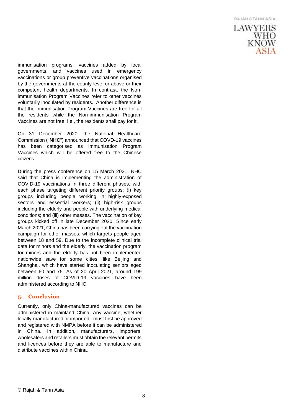

immunisation programs, vaccines added by local governments, and vaccines used in emergency vaccinations or group preventive vaccinations organised by the governments at the county level or above or their competent health departments. In contrast, the Nonimmunisation Program Vaccines refer to other vaccines voluntarily inoculated by residents. Another difference is that the Immunisation Program Vaccines are free for all the residents while the Non-immunisation Program Vaccines are not free, i.e., the residents shall pay for it.

On 31 December 2020, the National Healthcare Commission ("**NHC**") announced that COVD-19 vaccines has been categorised as Immunisation Program Vaccines which will be offered free to the Chinese citizens.

During the press conference on 15 March 2021, NHC said that China is implementing the administration of COVID-19 vaccinations in three different phases, with each phase targeting different priority groups: (i) key groups including people working in highly-exposed sectors and essential workers; (ii) high-risk groups including the elderly and people with underlying medical conditions; and (iii) other masses. The vaccination of key groups kicked off in late December 2020. Since early March 2021, China has been carrying out the vaccination campaign for other masses, which targets people aged between 18 and 59. Due to the incomplete clinical trial data for minors and the elderly, the vaccination program for minors and the elderly has not been implemented nationwide save for some cities, like Beijing and Shanghai, which have started inoculating seniors aged between 60 and 75. As of 20 April 2021, around 199 million doses of COVID-19 vaccines have been administered according to NHC.

#### **5. Conclusion**

Currently, only China-manufactured vaccines can be administered in mainland China. Any vaccine, whether locally-manufactured or imported, must first be approved and registered with NMPA before it can be administered in China. In addition, manufacturers, importers, wholesalers and retailers must obtain the relevant permits and licences before they are able to manufacture and distribute vaccines within China.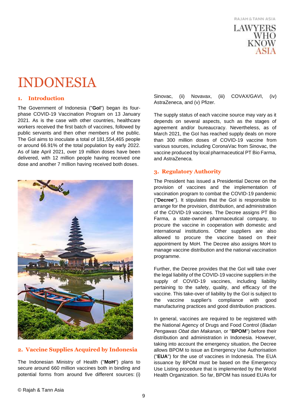

### <span id="page-8-0"></span>INDONESIA

#### **1. Introduction**

The Government of Indonesia ("**GoI**") began its fourphase COVID-19 Vaccination Program on 13 January 2021. As is the case with other countries, healthcare workers received the first batch of vaccines, followed by public servants and then other members of the public. The GoI aims to inoculate a total of 181,554,465 people or around 66.91% of the total population by early 2022. As of late April 2021, over 19 million doses have been delivered, with 12 million people having received one dose and another 7 million having received both doses.



#### **2. Vaccine Supplies Acquired by Indonesia**

The Indonesian Ministry of Health ("**MoH**") plans to secure around 660 million vaccines both in binding and potential forms from around five different sources: (i) Sinovac, (ii) Novavax, (iii) COVAX/GAVI, (iv) AstraZeneca, and (v) Pfizer.

The supply status of each vaccine source may vary as it depends on several aspects, such as the stages of agreement and/or bureaucracy. Nevertheless, as of March 2021, the GoI has reached supply deals on more than 300 million doses of COVID-19 vaccine from various sources, including CoronaVac from Sinovac, the vaccine produced by local pharmaceutical PT Bio Farma, and AstraZeneca.

#### **3. Regulatory Authority**

The President has issued a Presidential Decree on the provision of vaccines and the implementation of vaccination program to combat the COVID-19 pandemic ("**Decree**"). It stipulates that the GoI is responsible to arrange for the provision, distribution, and administration of the COVID-19 vaccines. The Decree assigns PT Bio Farma, a state-owned pharmaceutical company, to procure the vaccine in cooperation with domestic and international institutions. Other suppliers are also allowed to procure the vaccine based on their appointment by MoH. The Decree also assigns MoH to manage vaccine distribution and the national vaccination programme.

Further, the Decree provides that the GoI will take over the legal liability of the COVID-19 vaccine suppliers in the supply of COVID-19 vaccines, including liability pertaining to the safety, quality, and efficacy of the vaccine. This take-over of liability by the GoI is subject to the vaccine supplier's compliance with good manufacturing practices and good distribution practices.

In general, vaccines are required to be registered with the National Agency of Drugs and Food Control (*Badan Pengawas Obat dan Makanan,* or "**BPOM**") before their distribution and administration in Indonesia. However, taking into account the emergency situation, the Decree allows BPOM to issue an Emergency Use Authorisation ("**EUA**") for the use of vaccines in Indonesia. The EUA issuance by BPOM must be based on the Emergency Use Listing procedure that is implemented by the World Health Organization. So far, BPOM has issued EUAs for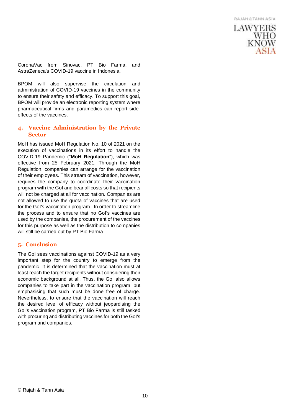

CoronaVac from Sinovac, PT Bio Farma, and AstraZeneca's COVID-19 vaccine in Indonesia.

BPOM will also supervise the circulation and administration of COVID-19 vaccines in the community to ensure their safety and efficacy. To support this goal, BPOM will provide an electronic reporting system where pharmaceutical firms and paramedics can report sideeffects of the vaccines.

#### **4. Vaccine Administration by the Private Sector**

MoH has issued MoH Regulation No. 10 of 2021 on the execution of vaccinations in its effort to handle the COVID-19 Pandemic ("**MoH Regulation**"), which was effective from 25 February 2021. Through the MoH Regulation, companies can arrange for the vaccination of their employees. This stream of vaccination, however, requires the company to coordinate their vaccination program with the GoI and bear all costs so that recipients will not be charged at all for vaccination. Companies are not allowed to use the quota of vaccines that are used for the GoI's vaccination program. In order to streamline the process and to ensure that no GoI's vaccines are used by the companies, the procurement of the vaccines for this purpose as well as the distribution to companies will still be carried out by PT Bio Farma.

#### **5. Conclusion**

The GoI sees vaccinations against COVID-19 as a very important step for the country to emerge from the pandemic. It is determined that the vaccination must at least reach the target recipients without considering their economic background at all. Thus, the GoI also allows companies to take part in the vaccination program, but emphasising that such must be done free of charge. Nevertheless, to ensure that the vaccination will reach the desired level of efficacy without jeopardising the GoI's vaccination program, PT Bio Farma is still tasked with procuring and distributing vaccines for both the GoI's program and companies.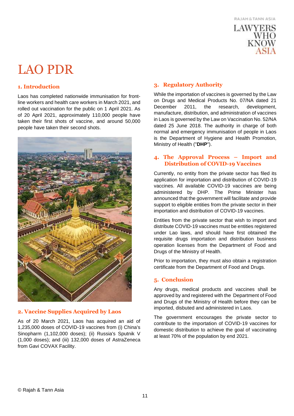

### <span id="page-10-0"></span>LAO PDR

#### **1. Introduction**

Laos has completed nationwide immunisation for frontline workers and health care workers in March 2021, and rolled out vaccination for the public on 1 April 2021. As of 20 April 2021, approximately 110,000 people have taken their first shots of vaccine, and around 50,000 people have taken their second shots.



#### **2. Vaccine Supplies Acquired by Laos**

As of 20 March 2021, Laos has acquired an aid of 1,235,000 doses of COVID-19 vaccines from (i) China's Sinopharm (1,102,000 doses); (ii) Russia's Sputnik V (1,000 doses); and (iii) 132,000 doses of AstraZeneca from Gavi COVAX Facility.

#### **3. Regulatory Authority**

While the importation of vaccines is governed by the Law on Drugs and Medical Products No. 07/NA dated 21 December 2011, the research, development, manufacture, distribution, and administration of vaccines in Laos is governed by the Law on Vaccination No. 52/NA dated 25 June 2018. The authority in charge of both normal and emergency immunisation of people in Laos is the Department of Hygiene and Health Promotion, Ministry of Health ("**DHP**").

#### **4. The Approval Process – Import and Distribution of COVID-19 Vaccines**

Currently, no entity from the private sector has filed its application for importation and distribution of COVID-19 vaccines. All available COVID-19 vaccines are being administered by DHP. The Prime Minister has announced that the government will facilitate and provide support to eligible entities from the private sector in their importation and distribution of COVID-19 vaccines.

Entities from the private sector that wish to import and distribute COVID-19 vaccines must be entities registered under Lao laws, and should have first obtained the requisite drugs importation and distribution business operation licenses from the Department of Food and Drugs of the Ministry of Health.

Prior to importation, they must also obtain a registration certificate from the Department of Food and Drugs.

#### **5. Conclusion**

Any drugs, medical products and vaccines shall be approved by and registered with the Department of Food and Drugs of the Ministry of Health before they can be imported, disbuted and administered in Laos.

The government encourages the private sector to contribute to the importation of COVID-19 vaccines for domestic distribution to achieve the goal of vaccinating at least 70% of the population by end 2021.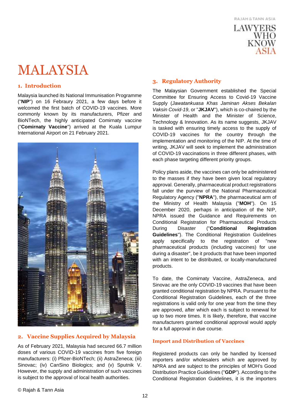

# <span id="page-11-0"></span>MALAYSIA

#### **1. Introduction**

Malaysia launched its National Immunisation Programme ("**NIP**") on 16 Febraury 2021, a few days before it welcomed the first batch of COVID-19 vaccines. More commonly known by its manufacturers, Pfizer and BioNTech, the highly anticipated Comirnaty vaccine ("**Comirnaty Vaccine**") arrived at the Kuala Lumpur International Airport on 21 February 2021.



#### **2. Vaccine Supplies Acquired by Malaysia**

As of February 2021, Malaysia had secured 66.7 million doses of various COVID-19 vaccines from five foreign manufacturers: (i) Pfizer-BioNTech; (ii) AstraZeneca; (iii) Sinovac; (iv) CanSino Biologics; and (v) Sputnik V. However, the supply and administration of such vaccines is subject to the approval of local health authorities.

#### **3. Regulatory Authority**

The Malaysian Government established the Special Committee for Ensuring Access to Covid-19 Vaccine Supply (*Jawatankuasa Khas Jaminan Akses Bekalan Vaksin Covid-19*, or "**JKJAV**"), which is co-chaired by the Minister of Health and the Minister of Science, Technology & Innovation. As its name suggests, JKJAV is tasked with ensuring timely access to the supply of COVID-19 vaccines for the country through the implementation and monitoring of the NIP. At the time of writing, JKJAV will seek to implement the administration of COVID-19 vaccinations in three different phases, with each phase targeting different priority groups.

Policy plans aside, the vaccines can only be administered to the masses if they have been given local regulatory approval. Generally, pharmaceutical product registrations fall under the purview of the National Pharmaceutical Regulatory Agency ("**NPRA**"), the pharmaceutical arm of the Ministry of Health Malaysia ("**MOH**"). On 15 December 2020, perhaps in anticipation of the NIP, NPRA issued the Guidance and Requirements on Conditional Registration for Pharmaceutical Products During Disaster ("**Conditional Registration Guidelines**"). The Conditional Registration Guidelines apply specifically to the registration of "new pharmaceutical products (including vaccines) for use during a disaster", be it products that have been imported with an intent to be distributed, or locally-manufactured products.

To date, the Comirnaty Vaccine, AstraZeneca, and Sinovac are the only COVID-19 vaccines that have been granted conditional registration by NPRA. Pursuant to the Conditional Registration Guidelines, each of the three registrations is valid only for one year from the time they are approved, after which each is subject to renewal for up to two more times. It is likely, therefore, that vaccine manufacturers granted conditional approval would apply for a full approval in due course.

#### **Import and Distribution of Vaccines**

Registered products can only be handled by licensed importers and/or wholesalers which are approved by NPRA and are subject to the principles of MOH's Good Distribution Practice Guidelines ("**GDP**"). According to the Conditional Registration Guidelines, it is the importers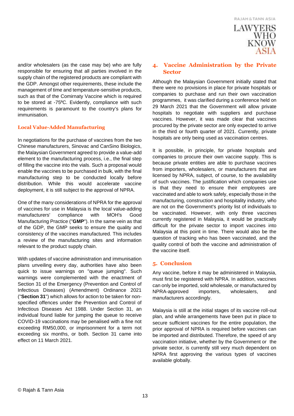

and/or wholesalers (as the case may be) who are fully responsible for ensuring that all parties involved in the supply chain of the registered products are compliant with the GDP. Amongst other requirements, these include the management of time and temperature-sensitive products, such as that of the Comirnaty Vaccine which is required to be stored at -75°C. Evidently, compliance with such requirements is paramount to the country's plans for immunisation.

#### **Local Value-Added Manufacturing**

In negotiations for the purchase of vaccines from the two Chinese manufacturers, Sinovac and CanSino Biologics, the Malaysian Government agreed to provide a value-add element to the manufacturing process, i.e., the final step of filling the vaccine into the vials. Such a proposal would enable the vaccines to be purchased in bulk, with the final manufacturing step to be conducted locally before distribution. While this would accelerate vaccine deployment, it is still subject to the approval of NPRA.

One of the many considerations of NPRA for the approval of vaccines for use in Malaysia is the local value-adding manufacturers' compliance with MOH's Good Manufacturing Practice ("**GMP**"). In the same vein as that of the GDP, the GMP seeks to ensure the quality and consistency of the vaccines manufactured. This includes a review of the manufacturing sites and information relevant to the product supply chain.

With updates of vaccine administration and immunisation plans unveiling every day, authorities have also been quick to issue warnings on "queue jumping". Such warnings were complemented with the enactment of Section 31 of the Emergency (Prevention and Control of Infectious Diseases) (Amendment) Ordinance 2021 ("**Section 31**") which allows for action to be taken for nonspecified offences under the Prevention and Control of Infectious Diseases Act 1988. Under Section 31, an individual found liable for jumping the queue to receive COVID-19 vaccinations may be penalised with a fine not exceeding RM50,000, or imprisonment for a term not exceeding six months, or both. Section 31 came into effect on 11 March 2021.

#### **4. Vaccine Administration by the Private Sector**

Although the Malaysian Government initially stated that there were no provisions in place for private hospitals or companies to purchase and run their own vaccination programmes, it was clarified during a conference held on 29 March 2021 that the Government will allow private hospitals to negotiate with suppliers and purchase vaccines. However, it was made clear that vaccines procured by the private sector are only expected to arrive in the third or fourth quarter of 2021. Currently, private hospitals are only being used as vaccination centres.

It is possible, in principle, for private hospitals and companies to procure their own vaccine supply. This is because private entities are able to purchase vaccines from importers, wholesalers, or manufacturers that are licensed by NPRA, subject, of course, to the availability of such vaccines. The justification which companies use is that they need to ensure their employees are vaccinated and able to work safely, especially those in the manufacturing, construction and hospitality industry, who are not on the Government's priority list of individuals to be vaccinated. However, with only three vaccines currently registered in Malaysia, it would be practically difficult for the private sector to import vaccines into Malaysia at this point in time. There would also be the question of tracking who has been vaccinated, and the quality control of both the vaccine and administration of the vaccine itself.

#### **5. Conclusion**

Any vaccine, before it may be administered in Malaysia, must first be registered with NPRA. In addition, vaccines can only be imported, sold wholesale, or manufactured by NPRA-approved importers, wholesalers, and manufacturers accordingly.

Malaysia is still at the initial stages of its vaccine roll-out plan, and while arrangements have been put in place to secure sufficient vaccines for the entire population, the prior approval of NPRA is required before vaccines can be imported and distributed. Therefore, the speed of any vaccination initiative, whether by the Government or the private sector, is currently still very much dependent on NPRA first approving the various types of vaccines available globally.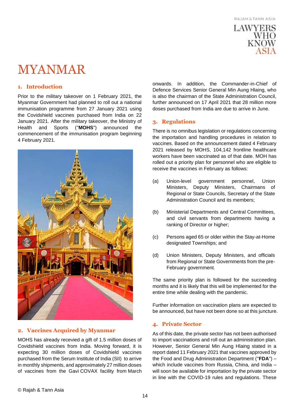

### <span id="page-13-0"></span>MYANMAR

#### **1. Introduction**

Prior to the military takeover on 1 February 2021, the Myanmar Government had planned to roll out a national immunisation programme from 27 January 2021 using the Covidshield vaccines purchased from India on 22 January 2021. After the military takeover, the Ministry of Health and Sports ("**MOHS**") announced the commencement of the immunisation program beginning 4 February 2021.



#### **2. Vaccines Acquired by Myanmar**

MOHS has already recevied a gift of 1.5 million doses of Covidshield vaccines from India. Moving forward, it is expecting 30 million doses of Covidshield vaccines purchased from the Serum Institute of India (SII) to arrive in monthly shipments, and approximately 27 million doses of vaccines from the Gavi COVAX facility from March onwards. In addition, the Commander-in-Chief of Defence Services Senior General Min Aung Hlaing, who is also the chairman of the State Administration Council, further announced on 17 April 2021 that 28 million more doses purchased from India are due to arrive in June.

#### **3. Regulations**

There is no omnibus legislation or regulations concerning the importation and handling procedures in relation to vaccines. Based on the announcement dated 4 February 2021 released by MOHS, 104,142 frontline healthcare workers have been vaccinated as of that date. MOH has rolled out a priority plan for personnel who are eligible to receive the vaccines in February as follows:

- (a) Union-level government personnel, Union Ministers, Deputy Ministers, Chairmans of Regional or State Councils, Secretary of the State Administration Council and its members;
- (b) Ministerial Departments and Central Committees, and civil servants from departments having a ranking of Director or higher;
- (c) Persons aged 65 or older within the Stay-at-Home designated Townships; and
- (d) Union Ministers, Deputy Ministers, and officials from Regional or State Governments from the pre-February government.

The same priority plan is followed for the succeeding months and it is likely that this will be implemented for the entire time while dealing with the pandemic.

Further information on vaccination plans are expected to be announced, but have not been done so at this juncture.

#### **4. Private Sector**

As of this date, the private sector has not been authorised to import vaccinations and roll out an administration plan. However, Senior General Min Aung Hlaing stated in a report dated 11 February 2021 that vaccines approved by the Food and Drug Administration Department ("**FDA**") – which include vaccines from Russia, China, and India – will soon be available for importation by the private sector in line with the COVID-19 rules and regulations. These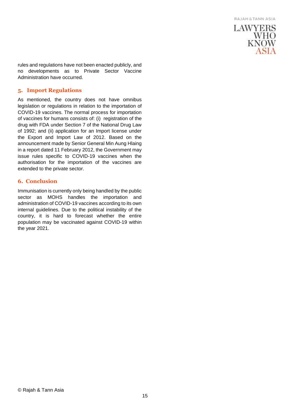

rules and regulations have not been enacted publicly, and no developments as to Private Sector Vaccine Administration have occurred.

#### **5. Import Regulations**

As mentioned, the country does not have omnibus legislation or regulations in relation to the importation of COVID-19 vaccines. The normal process for importation of vaccines for humans consists of: (i) registration of the drug with FDA under Section 7 of the National Drug Law of 1992; and (ii) application for an Import license under the Export and Import Law of 2012. Based on the announcement made by Senior General Min Aung Hlaing in a report dated 11 February 2012, the Government may issue rules specific to COVID-19 vaccines when the authorisation for the importation of the vaccines are extended to the private sector.

#### **6. Conclusion**

Immunisation is currently only being handled by the public sector as MOHS handles the importation and administration of COVID-19 vaccines according to its own internal guidelines. Due to the political instability of the country, it is hard to forecast whether the entire population may be vaccinated against COVID-19 within the year 2021.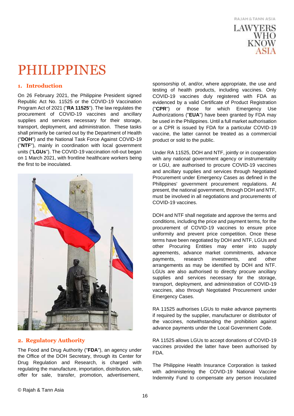

# <span id="page-15-0"></span>PHILIPPINES

#### **1. Introduction**

On 26 February 2021, the Philippine President signed Republic Act No. 11525 or the COVID-19 Vaccination Program Act of 2021 ("**RA 11525**"). The law regulates the procurement of COVID-19 vaccines and ancillary supplies and services necessary for their storage, transport, deployment, and administration. These tasks shall primarily be carried out by the Department of Health ("**DOH**") and the National Task Force Against COVID-19 ("**NTF**"), mainly in coordination with local government units ("**LGUs**"). The COVID-19 vaccination roll-out began on 1 March 2021, with frontline healthcare workers being the first to be inoculated.



#### **2. Regulatory Authority**

The Food and Drug Authority ("**FDA**"), an agency under the Office of the DOH Secretary, through its Center for Drug Regulation and Research, is charged with regulating the manufacture, importation, distribution, sale, offer for sale, transfer, promotion, advertisement,

sponsorship of, and/or, where appropriate, the use and testing of health products, including vaccines. Only COVID-19 vaccines duly registered with FDA as evidenced by a valid Certificate of Product Registration ("**CPR**") or those for which Emergency Use Authorizations ("**EUA**") have been granted by FDA may be used in the Philippines. Until a full market authorisation or a CPR is issued by FDA for a particular COVID-19 vaccine, the latter cannot be treated as a commercial product or sold to the public.

Under RA 11525, DOH and NTF, jointly or in cooperation with any national government agency or instrumentality or LGU, are authorised to procure COVID-19 vaccines and ancillary supplies and services through Negotiated Procurement under Emergency Cases as defined in the Philippines' government procurement regulations. At present, the national government, through DOH and NTF, must be involved in all negotiations and procurements of COVID-19 vaccines.

DOH and NTF shall negotiate and approve the terms and conditions, including the price and payment terms, for the procurement of COVID-19 vaccines to ensure price uniformity and prevent price competition. Once these terms have been negotiated by DOH and NTF, LGUs and other Procuring Entities may enter into supply agreements, advance market commitments, advance payments, research investments, and other arrangements as may be identified by DOH and NTF. LGUs are also authorised to directly procure ancillary supplies and services necessary for the storage, transport, deployment, and administration of COVID-19 vaccines, also through Negotiated Procurement under Emergency Cases.

RA 11525 authorises LGUs to make advance payments if required by the supplier, manufacturer or distributor of the vaccines, notwithstanding the prohibition against advance payments under the Local Government Code.

RA 11525 allows LGUs to accept donations of COVID-19 vaccines provided the latter have been authorised by FDA.

The Philippine Health Insurance Corporation is tasked with administering the COVID-19 National Vaccine Indemnity Fund to compensate any person inoculated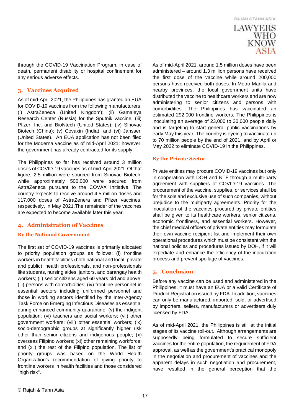### **LAWYERS** WHO KNOW

through the COVID-19 Vaccination Program, in case of death, permanent disability or hospital confinement for any serious adverse effects.

#### **3. Vaccines Acquired**

As of mid-April 2021, the Philippines has granted an EUA for COVID-19 vaccines from the following manufacturers: (i) AstraZeneca (United Kingdom); (ii) Gamaleya Research Center (Russia) for the Sputnik vaccine; (iii) Pfizer, Inc. and BioNtech (United States); (iv) Sinovac Biotech (China); (v) Covaxin (India); and (vi) Janssen (United States). An EUA application has not been filed for the Moderna vaccine as of mid-April 2021; however, the government has already contracted for its supply.

The Philippines so far has received around 3 million doses of COVID-19 vaccines as of mid-April 2021. Of that figure, 2.5 million were sourced from Sinovac Biotech, while approximately 500,000 were secured from AstraZeneca pursuant to the COVAX Initiative. The country expects to receive around 4.5 million doses and 117,000 doses of AstraZenera and Pfizer vaccines, respectively, in May 2021.The remainder of the vaccines are expected to become available later this year.

#### **4. Administration of Vaccines**

#### **By the National Government**

The first set of COVID-19 vaccines is primarily allocated to priority population groups as follows: (i) frontline workers in health facilities (both national and local, private and public), health professionals, and non-professionals like students, nursing aides, janitors, and barangay health workers; (ii) senior citizens aged 60 years old and above; (iii) persons with comorbidities; (iv) frontline personnel in essential sectors including uniformed personnel and those in working sectors identified by the Inter-Agency Task Force on Emerging Infectious Diseases as essential during enhanced community quarantine; (v) the indigent population; (vi) teachers and social workers; (vii) other government workers; (viii) other essential workers; (ix) socio-demographic groups at significantly higher risk other than senior citizens and indigenous people; (x) overseas Filipino workers; (xi) other remaining workforce; and (xii) the rest of the Filipino population. The list of priority groups was based on the World Health Organization's recommendation of giving priority to frontline workers in health facilities and those considered "high risk".

As of mid-April 2021, around 1.5 million doses have been administered – around 1.3 million persons have received the first dose of the vaccine while around 200,000 persons have received both doses. In Metro Manila and nearby provinces, the local government units have distributed the vaccine to healthcare workers and are now administering to senior citizens and persons with comorbidities. The Philippines has vaccinated an estimated 292,000 frontline workers. The Philippines is inoculating an average of 23,000 to 30,000 people daily and is targeting to start general public vaccinations by early May this year. The country is eyeing to vaccinate up to 70 million people by the end of 2021, and by April or May 2022 to eliminate COVID-19 in the Philippines.

#### **By the Private Sector**

Private entities may procure COVID-19 vaccines but only in cooperation with DOH and NTF through a multi-party agreement with suppliers of COVID-19 vaccines. The procurement of the vaccine, supplies, or services shall be for the sole and exclusive use of such companies, without prejudice to the multiparty agreements. Priority for the inoculation of the vaccines procured by private entities shall be given to its healthcare workers, senior citizens, economic frontliners, and essential workers. However, the chief medical officers of private entities may formulate their own vaccine recipient list and implement their own operational procedures which must be consistent with the national policies and procedures issued by DOH, if it will expediate and enhance the efficiency of the inoculation process and prevent spoilage of vaccines.

#### **5. Conclusion**

Before any vaccine can be used and administered in the Philippines, it must have an EUA or a valid Certificate of Product Registration issued by FDA. In addition, vaccines can only be manufactured, imported, sold, or advertised by importers, sellers, manufacturers or advertisers duly licensed by FDA.

As of mid-April 2021, the Philippines is still at the initial stages of its vaccine roll-out. Although arrangements are supposedly being formulated to secure sufficient vaccines for the entire population, the requirement of FDA approval, as well as the government's practical monopoly in the negotiation and procurement of vaccines and the apparent delays in such negotiation and procurement, have resulted in the general perception that the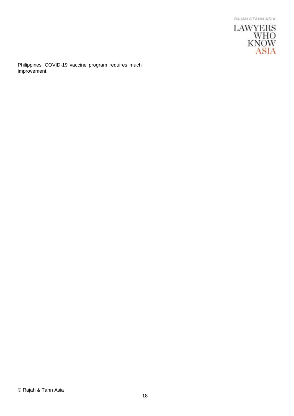

Philippines' COVID-19 vaccine program requires much improvement.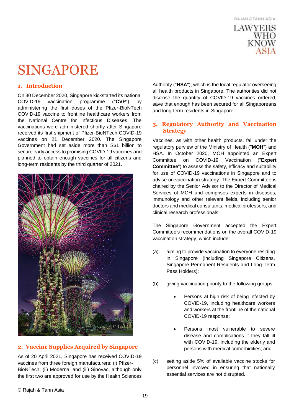

# <span id="page-18-0"></span>SINGAPORE

#### **1. Introduction**

On 30 December 2020, Singapore kickstarted its national COVID-19 vaccination programme ("**CVP**") by administering the first doses of the Pfizer-BioNTech COVID-19 vaccine to frontline healthcare workers from the National Centre for Infectious Diseases. The vaccinations were administered shortly after Singapore received its first shipment of Pfizer-BioNTech COVID-19 vaccines on 21 December 2020. The Singapore Government had set aside more than S\$1 billion to secure early access to promising COVID-19 vaccines and planned to obtain enough vaccines for all citizens and long-term residents by the third quarter of 2021.



#### **2. Vaccine Supplies Acquired by Singapore**

As of 20 April 2021, Singapore has received COVID-19 vaccines from three foreign manufacturers: (i) Pfizer-BioNTech; (ii) Moderna; and (iii) Sinovac, although only the first two are approved for use by the Health Sciences

Authority ("**HSA**"), which is the local regulator overseeing all health products in Singapore. The authorities did not disclose the quantity of COVID-19 vaccines ordered, save that enough has been secured for all Singaporeans and long-term residents in Singapore.

#### **3. Regulatory Authority and Vaccination Strategy**

Vaccines, as with other health products, fall under the regulatory purview of the Ministry of Health ("**MOH**") and HSA. In October 2020, MOH appointed an Expert Committee on COVID-19 Vaccination ("**Expert Committee**") to assess the safety, efficacy and suitability for use of COVID-19 vaccinations in Singapore and to advise on vaccination strategy. The Expert Committee is chaired by the Senior Advisor to the Director of Medical Services of MOH and comprises experts in diseases, immunology and other relevant fields, including senior doctors and medical consultants, medical professors, and clinical research professionals.

The Singapore Government accepted the Expert Committee's recommendations on the overall COVID-19 vaccination strategy, which include:

- (a) aiming to provide vaccination to everyone residing in Singapore (including Singapore Citizens, Singapore Permanent Residents and Long-Term Pass Holders);
- (b) giving vaccination priority to the following groups:
	- Persons at high risk of being infected by COVID-19, including healthcare workers and workers at the frontline of the national COVID-19 response;
	- Persons most vulnerable to severe disease and complications if they fall ill with COVID-19, including the elderly and persons with medical comorbidities; and
- (c) setting aside 5% of available vaccine stocks for personnel involved in ensuring that nationally essential services are not disrupted.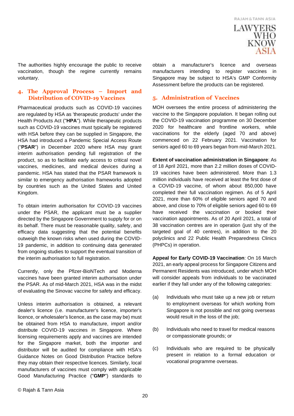

The authorities highly encourage the public to receive vaccination, though the regime currently remains voluntary.

#### **4. The Approval Process – Import and Distribution of COVID-19 Vaccines**

Pharmaceutical products such as COVID-19 vaccines are regulated by HSA as 'therapeutic products' under the Health Products Act ("**HPA**"). While therapeutic products such as COVID-19 vaccines must typically be registered with HSA before they can be supplied in Singapore, the HSA had introduced a Pandemic Special Access Route ("**PSAR**") in December 2020 where HSA may grant interim authorisation pending full registration of the product, so as to facilitate early access to critical novel vaccines, medicines, and medical devices during a pandemic. HSA has stated that the PSAR framework is similar to emergency authorisation frameworks adopted by countries such as the United States and United Kingdom.

To obtain interim authorisation for COVID-19 vaccines under the PSAR, the applicant must be a supplier directed by the Singapore Government to supply for or on its behalf. There must be reasonable quality, safety, and efficacy data suggesting that the potential benefits outweigh the known risks when used during the COVID-19 pandemic, in addition to continuing data generated from ongoing studies to support the eventual transition of the interim authorisation to full registration.

Currently, only the Pfizer-BioNTech and Moderna vaccines have been granted interim authorisation under the PSAR. As of mid-March 2021, HSA was in the midst of evaluating the Sinovac vaccine for safety and efficacy.

Unless interim authorisation is obtained, a relevant dealer's licence (i.e. manufacturer's licence, importer's licence, or wholesaler's licence, as the case may be) must be obtained from HSA to manufacture, import and/or distribute COVID-19 vaccines in Singapore. Where licensing requirements apply and vaccines are intended for the Singapore market, both the importer and distributor will be audited for compliance with HSA's Guidance Notes on Good Distribution Practice before they may obtain their respective licences. Similarly, local manufacturers of vaccines must comply with applicable Good Manufacturing Practice ("**GMP**") standards to

obtain a manufacturer's licence and overseas manufacturers intending to register vaccines in Singapore may be subject to HSA's GMP Conformity Assessment before the products can be registered.

#### **5. Administration of Vaccines**

MOH oversees the entire process of administering the vaccine to the Singapore population. It began rolling out the COVID-19 vaccination programme on 30 December 2020 for healthcare and frontline workers, while vaccinations for the elderly (aged 70 and above) commenced on 22 February 2021. Vaccination for seniors aged 60 to 69 years began from mid-March 2021.

**Extent of vaccination administration in Singapore**: As of 18 April 2021, more than 2.2 million doses of COVID-19 vaccines have been administered. More than 1.3 million individuals have received at least the first dose of a COVID-19 vaccine, of whom about 850,000 have completed their full vaccination regimen. As of 5 April 2021, more than 60% of eligible seniors aged 70 and above, and close to 70% of eligible seniors aged 60 to 69 have received the vaccination or booked their vaccination appointments. As of 20 April 2021, a total of 38 vaccination centres are in operation (just shy of the targeted goal of 40 centres), in addition to the 20 polyclinics and 22 Public Health Preparedness Clinics (PHPCs) in operation.

**Appeal for Early COVID-19 Vaccination**: On 16 March 2021, an early appeal process for Singapore Citizens and Permanent Residents was introduced, under which MOH will consider appeals from individuals to be vaccinated earlier if they fall under any of the following categories:

- (a) Individuals who must take up a new job or return to employment overseas for which working from Singapore is not possible and not going overseas would result in the loss of the job;
- (b) Individuals who need to travel for medical reasons or compassionate grounds; or
- (c) Individuals who are required to be physically present in relation to a formal education or vocational programme overseas.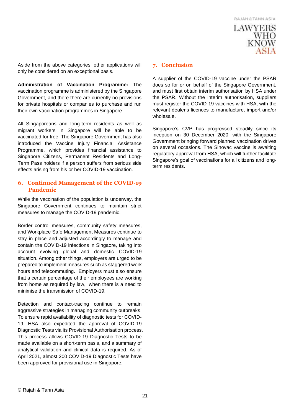

Aside from the above categories, other applications will only be considered on an exceptional basis.

**Administration of Vaccination Programme:** The vaccination programme is administered by the Singapore Government, and there there are currently no provisions for private hospitals or companies to purchase and run their own vaccination programmes in Singapore.

All Singaporeans and long-term residents as well as migrant workers in Singapore will be able to be vaccinated for free. The Singapore Government has also introduced the Vaccine Injury Financial Assistance Programme, which provides financial assistance to Singapore Citizens, Permanent Residents and Long-Term Pass holders if a person suffers from serious side effects arising from his or her COVID-19 vaccination.

#### **6. Continued Management of the COVID-19 Pandemic**

While the vaccination of the population is underway, the Singapore Government continues to maintain strict measures to manage the COVID-19 pandemic.

Border control measures, community safety measures, and Workplace Safe Management Measures continue to stay in place and adjusted accordingly to manage and contain the COVID-19 infections in Singaore, taking into account evolving global and domestic COVID-19 situation. Among other things, employers are urged to be prepared to implement measures such as staggered work hours and telecommuting. Employers must also ensure that a certain percentage of their employees are working from home as required by law, when there is a need to minimise the transmission of COVID-19.

Detection and contact-tracing continue to remain aggressive strategies in managing community outbreaks. To ensure rapid availability of diagnostic tests for COVID-19, HSA also expedited the approval of COVID-19 Diagnostic Tests via its Provisional Authorisation process. This process allows COVID-19 Diagnostic Tests to be made available on a short-term basis, and a summary of analytical validation and clinical data is required. As of April 2021, almost 200 COVID-19 Diagnostic Tests have been approved for provisional use in Singapore.

#### **7. Conclusion**

A supplier of the COVID-19 vaccine under the PSAR does so for or on behalf of the Singapore Government, and must first obtain interim authorisation by HSA under the PSAR. Without the interim authorisation, suppliers must register the COVID-19 vaccines with HSA, with the relevant dealer's licences to manufacture, import and/or wholesale.

Singapore's CVP has progressed steadily since its inception on 30 December 2020, with the Singapore Government bringing forward planned vaccination drives on several occasions. The Sinovac vaccine is awaiting regulatory approval from HSA, which will further facilitate Singapore's goal of vaccinations for all citizens and longterm residents.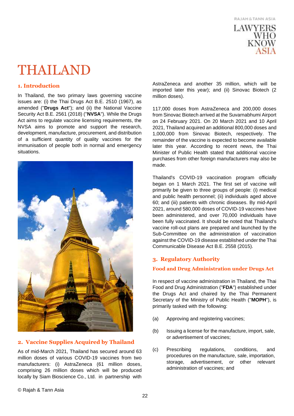

# <span id="page-21-0"></span>THAILAND

#### **1. Introduction**

In Thailand, the two primary laws governing vaccine issues are: (i) the Thai Drugs Act B.E. 2510 (1967), as amended ("**Drugs Act**"); and (ii) the National Vaccine Security Act B.E. 2561 (2018) ("**NVSA**"). While the Drugs Act aims to regulate vaccine licensing requirements, the NVSA aims to promote and support the research, development, manufacture, procurement, and distribution of a sufficient quantity of quality vaccines for the immunisation of people both in normal and emergency situations.



#### **2. Vaccine Supplies Acquired by Thailand**

As of mid-March 2021, Thailand has secured around 63 million doses of various COVID-19 vaccines from two manufacturers: (i) AstraZeneca (61 million doses, comprising 26 million doses which will be produced locally by Siam Bioscience Co., Ltd. in partnership with

AstraZeneca and another 35 million, which will be imported later this year); and (ii) Sinovac Biotech (2 million doses).

117,000 doses from AstraZeneca and 200,000 doses from Sinovac Biotech arrived at the Suvarnabhumi Airport on 24 February 2021. On 20 March 2021 and 10 April 2021, Thailand acquired an additional 800,000 doses and 1,000,000 from Sinovac Biotech, respectively. The remainder of the vaccine is expected to become available later this year. According to recent news, the Thai Minister of Public Health stated that additional vaccine purchases from other foreign manufacturers may also be made.

Thailand's COVID-19 vaccination program officially began on 1 March 2021. The first set of vaccine will primarily be given to three groups of people: (i) medical and public health personnel; (ii) individuals aged above 60; and (iii) patients with chronic diseases. By mid-April 2021, around 580,000 doses of COVID-19 vaccines have been administered, and over 70,000 individuals have been fully vaccinated. It should be noted that Thailand's vaccine roll-out plans are prepared and launched by the Sub-Committee on the administration of vaccination against the COVID-19 disease established under the Thai Communicable Disease Act B.E. 2558 (2015).

#### **3. Regulatory Authority**

#### **Food and Drug Administration under Drugs Act**

In respect of vaccine administration in Thailand, the Thai Food and Drug Administration ("**FDA**") established under the Drugs Act and chaired by the Thai Permanent Secretary of the Ministry of Public Health ("**MOPH**"), is primarily tasked with the following:

- (a) Approving and registering vaccines;
- (b) Issuing a license for the manufacture, import, sale, or advertisement of vaccines;
- (c) Prescribing regulations, conditions, and procedures on the manufacture, sale, importation, storage, advertisement, or other relevant administration of vaccines; and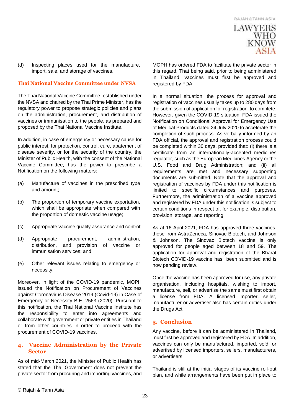

(d) Inspecting places used for the manufacture, import, sale, and storage of vaccines.

#### **Thai National Vaccine Committee under NVSA**

The Thai National Vaccine Committee, established under the NVSA and chaired by the Thai Prime Minister, has the regulatory power to propose strategic policies and plans on the administration, procurement, and distribution of vaccines or immunisation to the people, as prepared and proposed by the Thai National Vaccine Institute.

In addition, in case of emergency or necessary cause for public interest, for protection, control, cure, abatement of disease severity, or for the security of the country, the Minister of Public Health, with the consent of the National Vaccine Committee, has the power to prescribe a Notification on the following matters:

- (a) Manufacture of vaccines in the prescribed type and amount;
- (b) The proportion of temporary vaccine exportation, which shall be appropriate when compared with the proportion of domestic vaccine usage;
- (c) Appropriate vaccine quality assurance and control;
- (d) Appropriate procurement, administration, distribution, and provision of vaccine or immunisation services; and
- (e) Other relevant issues relating to emergency or necessity.

Moreover, in light of the COVID-19 pandemic, MOPH issued the Notification on Procurement of Vaccines against Coronavirus Disease 2019 (Covid-19) in Case of Emergency or Necessity B.E. 2563 (2020). Pursuant to this notification, the Thai National Vaccine Institute has the responsibility to enter into agreements and collaborate with government or private entities in Thailand or from other countries in order to proceed with the procurement of COVID-19 vaccines.

#### **4. Vaccine Administration by the Private Sector**

As of mid-March 2021, the Minister of Public Health has stated that the Thai Government does not prevent the private sector from procuring and importing vaccines, and

MOPH has ordered FDA to facilitate the private sector in this regard. That being said, prior to being administered in Thailand, vaccines must first be approved and registered by FDA.

In a normal situation, the process for approval and registration of vaccines usually takes up to 280 days from the submission of application for registration to complete. However, given the COVID-19 situation, FDA issued the Notification on Conditional Approval for Emergency Use of Medical Products dated 24 July 2020 to accelerate the completion of such process. As verbally informed by an FDA official, the approval and registration process could be completed within 30 days, provided that: (i) there is a certificate from an internationally-accepted medicines regulator, such as the European Medicines Agency or the U.S. Food and Drug Administration; and (ii) all requirements are met and necessary supporting documents are submitted. Note that the approval and registration of vaccines by FDA under this notification is limited to specific circumstances and purposes. Furthermore, the administration of a vaccine approved and registered by FDA under this notification is subject to certain conditions in respect of, for example, distribution, provision, storage, and reporting.

As at 16 April 2021, FDA has approved three vaccines, those from AstraZeneca, Sinovac Biotech, and Johnson & Johnson. The Sinovac Biotech vaccine is only approved for people aged between 18 and 59. The application for approval and registration of the Bharat Biotech COVID-19 vaccine has been submitted and is now pending review.

Once the vaccine has been approved for use, any private organisation, including hospitals, wishing to import, manufacture, sell, or advertise the same must first obtain a license from FDA. A licensed importer, seller, manufacturer or advertiser also has certain duties under the Drugs Act.

#### **5. Conclusion**

Any vaccine, before it can be administered in Thailand, must first be approved and registered by FDA. In addition, vaccines can only be manufactured, imported, sold, or advertised by licensed importers, sellers, manufacturers, or advertisers.

Thailand is still at the initial stages of its vaccine roll-out plan, and while arrangements have been put in place to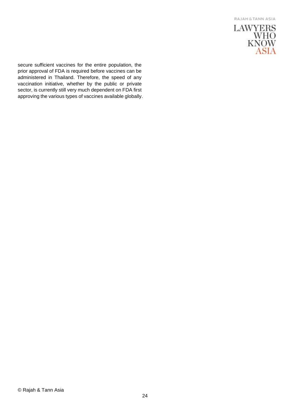

secure sufficient vaccines for the entire population, the prior approval of FDA is required before vaccines can be administered in Thailand. Therefore, the speed of any vaccination initiative, whether by the public or private sector, is currently still very much dependent on FDA first approving the various types of vaccines available globally.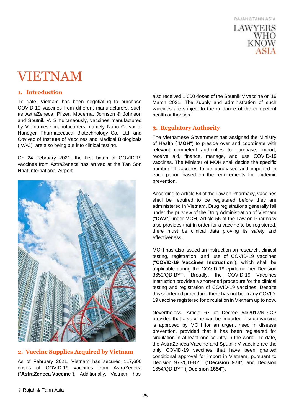

### <span id="page-24-0"></span>VIETNAM

#### **1. Introduction**

To date, Vietnam has been negotiating to purchase COVID-19 vaccines from different manufacturers, such as AstraZeneca, Pfizer, Moderna, Johnson & Johnson and Sputnik V. Simultaneously, vaccines manufactured by Vietnamese manufacturers, namely Nano Covax of Nanogen Pharmaceutical Biotechnology Co., Ltd. and Covivac of Institute of Vaccines and Medical Biologicals (IVAC), are also being put into clinical testing.

On 24 February 2021, the first batch of COVID-19 vaccines from AstraZeneca has arrived at the Tan Son Nhat International Airport.



#### **2. Vaccine Supplies Acquired by Vietnam**

As of February 2021, Vietnam has secured 117,600 doses of COVID-19 vaccines from AstraZeneca ("**AstraZeneca Vaccine**"). Additionally, Vietnam has

also received 1,000 doses of the Sputnik V vaccine on 16 March 2021. The supply and administration of such vaccines are subject to the guidance of the competent health authorities.

#### **3. Regulatory Authority**

The Vietnamese Government has assigned the Ministry of Health ("**MOH**") to preside over and coordinate with relevant competent authorities to purchase, import, receive aid, finance, manage, and use COVID-19 vaccines. The Minister of MOH shall decide the specific number of vaccines to be purchased and imported in each period based on the requirements for epidemic prevention.

According to Article 54 of the Law on Pharmacy, vaccines shall be required to be registered before they are administered in Vietnam. Drug registrations generally fall under the purview of the Drug Administration of Vietnam ("**DAV**") under MOH. Article 56 of the Law on Pharmacy also provides that in order for a vaccine to be registered, there must be clinical data proving its safety and effectiveness.

MOH has also issued an instruction on research, clinical testing, registration, and use of COVID-19 vaccines ("**COVID-19 Vaccines Instruction**"), which shall be applicable during the COVID-19 epidemic per Decision 3659/QD-BYT. Broadly, the COVID-19 Vaccines Instruction provides a shortened procedure for the clinical testing and registration of COVID-19 vaccines. Despite this shortened procedure, there has not been any COVID-19 vaccine registered for circulation in Vietnam up to now.

Nevertheless, Article 67 of Decree 54/2017/ND-CP provides that a vaccine can be imported if such vaccine is approved by MOH for an urgent need in disease prevention, provided that it has been registered for circulation in at least one country in the world. To date, the AstraZeneca Vaccine and Sputnik V vaccine are the only COVID-19 vaccines that have been granted conditional approval for import in Vietnam, pursuant to Decision 973/QD-BYT ("**Decision 973**") and Decision 1654/QD-BYT ("**Decision 1654**").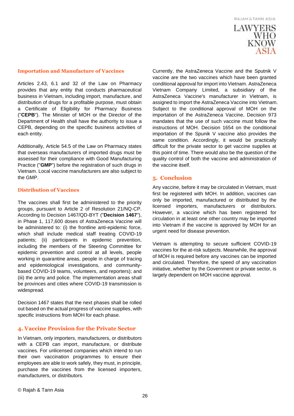# **LAWYERS WHO**<br>KNOW

#### **Importation and Manufacture of Vaccines**

Articles 2.43, 6.1 and 32 of the Law on Pharmacy provides that any entity that conducts pharmaceutical business in Vietnam, including import, manufacture, and distribution of drugs for a profitable purpose, must obtain a Certificate of Eligibility for Pharmacy Business ("**CEPB**"). The Minister of MOH or the Director of the Department of Health shall have the authority to issue a CEPB, depending on the specific business activities of each entity.

Additionally, Article 54.5 of the Law on Pharmacy states that overseas manufacturers of imported drugs must be assessed for their compliance with Good Manufacturing Practice ("**GMP**") before the registration of such drugs in Vietnam. Local vaccine manufacturers are also subject to the GMP.

#### **Distribution of Vaccines**

The vaccines shall first be administered to the priority groups, pursuant to Article 2 of Resolution 21/NQ-CP. According to Decision 1467/QD-BYT ("**Decision 1467**"), in Phase 1, 117,600 doses of AstraZeneca Vaccine will be administered to: (i) the frontline anti-epidemic force, which shall include medical staff treating COVID-19 patients; (ii) participants in epidemic prevention, including the members of the Steering Committee for epidemic prevention and control at all levels, people working in quarantine areas, people in charge of tracing and epidemiological investigations, and communitybased COVID-19 teams, volunteers, and reporters); and (iii) the army and police. The implementation areas shall be provinces and cities where COVID-19 transmission is widespread.

Decision 1467 states that the next phases shall be rolled out based on the actual progress of vaccine supplies, with specific instructions from MOH for each phase.

#### **4. Vaccine Provision for the Private Sector**

In Vietnam, only importers, manufacturers, or distributors with a CEPB can import, manufacture, or distribute vaccines. For unlicensed companies which intend to run their own vaccination programmes to ensure their employees are able to work safely, they must, in principle, purchase the vaccines from the licensed importers, manufacturers, or distributors.

Currently, the AstraZeneca Vaccine and the Sputnik V vaccine are the two vaccines which have been granted conditional approval for import into Vietnam. AstraZeneca Vietnam Company Limited, a subsidiary of the AstraZeneca Vaccine's manufacturer in Vietnam, is assigned to import the AstraZeneca Vaccine into Vietnam. Subject to the conditional approval of MOH on the importation of the AstraZeneca Vaccine, Decision 973 mandates that the use of such vaccine must follow the instructions of MOH. Decision 1654 on the conditional importation of the Spunik V vaccine also provides the same condition. Accordingly, it would be practically difficult for the private sector to get vaccine supplies at this point of time. There would also be the question of the quality control of both the vaccine and administration of the vaccine itself.

#### **5. Conclusion**

Any vaccine, before it may be circulated in Vietnam, must first be registered with MOH. In addition, vaccines can only be imported, manufactured or distributed by the licensed importers, manufacturers or distributors. However, a vaccine which has been registered for circulation in at least one other country may be imported into Vietnam if the vaccine is approved by MOH for an urgent need for disease prevention.

Vietnam is attempting to secure sufficient COVID-19 vaccines for the at-risk subjects. Meanwhile, the approval of MOH is required before any vaccines can be imported and circulated. Therefore, the speed of any vaccination initiative, whether by the Government or private sector, is largely dependent on MOH vaccine approval.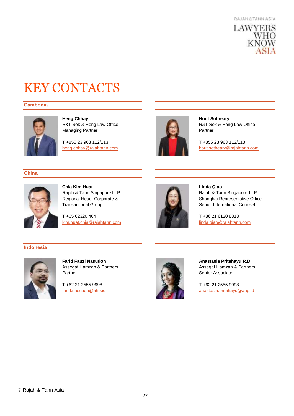

# <span id="page-26-0"></span>KEY CONTACTS

#### **Cambodia**



**Heng Chhay** R&T Sok & Heng Law Office Managing Partner

T +855 23 963 112/113 [heng.chhay@rajahtann.com](mailto:heng.chhay@rajahtann.com)



**Hout Sotheary** R&T Sok & Heng Law Office Partner

T +855 23 963 112/113 [hout.sotheary@rajahtann.com](mailto:hout.sotheary@rajahtann.com)

#### **China**



**Chia Kim Huat** Rajah & Tann Singapore LLP Regional Head, Corporate & Transactional Group

T +65 62320 464 [kim.huat.chia@rajahtann.com](mailto:kim.huat.chia@rajahtann.com)



**Linda Qiao**

Rajah & Tann Singapore LLP Shanghai Representative Office Senior International Counsel

T +86 21 6120 8818 [linda.qiao@rajahtann.com](mailto:linda.qiao@rajahtann.com)

#### **Indonesia**



**Farid Fauzi Nasution** Assegaf Hamzah & Partners Partner

T +62 21 2555 9998 [farid.nasution@ahp.id](mailto:farid.nasution@ahp.id)



**Anastasia Pritahayu R.D.** Assegaf Hamzah & Partners Senior Associate

T +62 21 2555 9998 [anastasia.pritahayu@ahp.id](mailto:anastasia.pritahayu@ahp.id)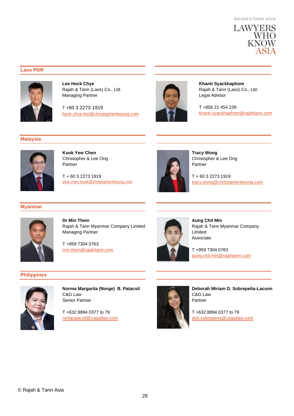

#### **Laos PDR**



**Lee Hock Chye** Rajah & Tann (Laos) Co., Ltd. Managing Partner

T +60 3 2273 1919 [hock.chye.lee@christopherleeong.com](mailto:hock.chye.lee@christopherleeong.com)



**Khanti Syackhaphom** Rajah & Tann (Laos) Co., Ltd. Legal Advisor

T +856 21 454 239 [khanti.syackhaphom@rajahtann.com](mailto:khanti.syackhaphom@rajahtann.com)

#### **Malaysia**



**Kuok Yew Chen** Christopher & Lee Ong Partner

T + 60 3 2273 1919 [yew.chen.kuok@christopherleeong.com](mailto:yew.chen.kuok@christopherleeong.com)



**Tracy Wong** Christopher & Lee Ong Partner

T + 60 3 2273 1919 [tracy.wong@christopherleeong.com](mailto:tracy.wong@christopherleeong.com)

#### **Myanmar**



**Dr Min Thein** Rajah & Tann Myanmar Company Limited Managing Partner

T +959 7304 0763 [min.thein@rajahtann.com](mailto:min.thein@rajahtann.com)

**Aung Chit Min** Rajah & Tann Myanmar Company Limited Associate

T +959 7304 0763 [aung.chit.min@rajahtann.com](mailto:aung.chit.min@rajahtann.com)

#### **Philippines**



**Norma Margarita (Norge) B. Patacsil** C&G Law Senior Partner

T +632 8894 0377 to 79 [nmbpatacsil@cagatlaw.com](mailto:nmbpatacsil@cagatlaw.com)



**Deborah Miriam D. Sobrepeña-Lacson** C&G Law Partner

T +632 8894 0377 to 79 [deb.sobrepena@cagatlaw.com](mailto:deb.sobrepena@cagatlaw.com)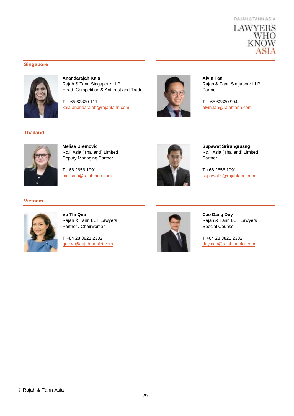

#### **Singapore**



**Anandarajah Kala** Rajah & Tann Singapore LLP Head, Competition & Antitrust and Trade

T +65 62320 111 [kala.anandarajah@rajahtann.com](mailto:kala.anandarajah@rajahtann.com)





**Melisa Uremovic** R&T Asia (Thailand) Limited Deputy Managing Partner

T +66 2656 1991 [melisa.u@rajahtann.com](mailto:melisa.u@rajahtann.com)



**Alvin Tan** Rajah & Tann Singapore LLP Partner

T +65 62320 904 [alvin.tan@rajahtann.com](mailto:alvin.tan@rajahtann.com)



**Supawat Srirungruang** R&T Asia (Thailand) Limited Partner

T +66 2656 1991 [supawat.s@rajahtann.com](mailto:supawat.s@rajahtann.com)

#### **Vietnam**



**Vu Thi Que** Rajah & Tann LCT Lawyers Partner / Chairwoman

T +84 28 3821 2382 [que.vu@rajahtannlct.com](mailto:que.vu@rajahtannlct.com)



**Cao Dang Duy** Rajah & Tann LCT Lawyers Special Counsel

T +84 28 3821 2382 [duy.cao@rajahtannlct.com](mailto:duy.cao@rajahtannlct.com)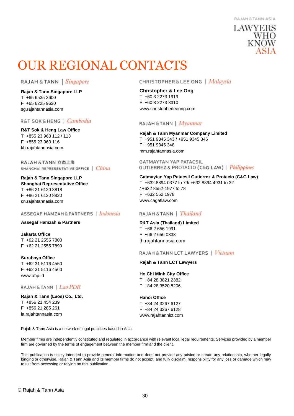#### **RAJAH & TANN ASJA**

### **LAWYERS WHO KNOW**

### <span id="page-29-0"></span>OUR REGIONAL CONTACTS

RAJAH & TANN | Singapore

**Rajah & Tann Singapore LLP** T +65 6535 3600 F +65 6225 9630 sg.rajahtannasia.com

R&T SOK & HENG | Cambodia

**R&T Sok & Heng Law Office** T +855 23 963 112 / 113 F +855 23 963 116 kh.rajahtannasia.com

RAJAH & TANN 立杰上海 SHANGHAI REPRESENTATIVE OFFICE | China

**Rajah & Tann Singapore LLP Shanghai Representative Office** T +86 21 6120 8818 F +86 21 6120 8820 cn.rajahtannasia.com

#### ASSEGAF HAMZAH & PARTNERS | Indonesia

#### **Assegaf Hamzah & Partners**

**Jakarta Office** T +62 21 2555 7800 F +62 21 2555 7899

**Surabaya Office**

T +62 31 5116 4550 F +62 31 5116 4560 www.ahp.id

#### RAJAH & TANN | Lao PDR

**Rajah & Tann (Laos) Co., Ltd.** T +856 21 454 239 F +856 21 285 261 la.rajahtannasia.com

**CHRISTOPHER & LEE ONG** | Malaysia

#### **Christopher & Lee Ong**

T +60 3 2273 1919 F +60 3 2273 8310 www.christopherleeong.com

#### RAJAH & TANN | Myanmar

**Rajah & Tann Myanmar Company Limited**

T +951 9345 343 / +951 9345 346 F +951 9345 348 mm.rajahtannasia.com

**GATMAYTAN YAP PATACSIL** GUTIERREZ & PROTACIO (C&G LAW) | Philippines

**Gatmaytan Yap Patacsil Gutierrez & Protacio (C&G Law)**  T +632 8894 0377 to 79/ +632 8894 4931 to 32 / +632 8552-1977 to 78 F +632 552 1978 www.cagatlaw.com

#### RAJAH & TANN | Thailand

#### **R&T Asia (Thailand) Limited**

T +66 2 656 1991 F +66 2 656 0833 th.rajahtannasia.com

#### RAJAH & TANN LCT LAWYERS | Vietnam

#### **Rajah & Tann LCT Lawyers**

**Ho Chi Minh City Office** T +84 28 3821 2382 F +84 28 3520 8206

#### **Hanoi Office**

T +84 24 3267 6127 F +84 24 3267 6128 www.rajahtannlct.com

Rajah & Tann Asia is a network of legal practices based in Asia.

Member firms are independently constituted and regulated in accordance with relevant local legal requirements. Services provided by a member firm are governed by the terms of engagement between the member firm and the client.

This publication is solely intended to provide general information and does not provide any advice or create any relationship, whether legally binding or otherwise. Rajah & Tann Asia and its member firms do not accept, and fully disclaim, responsibility for any loss or damage which may result from accessing or relying on this publication.